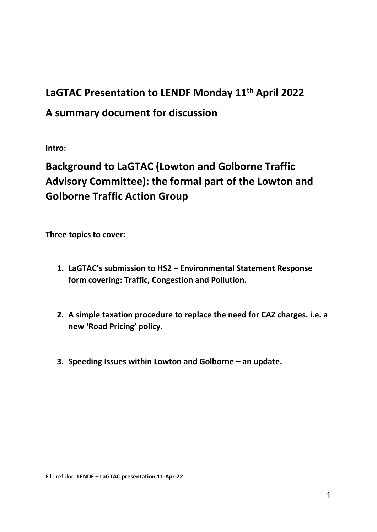### **LaGTAC Presentation to LENDF Monday 11th April 2022**

### **A summary document for discussion**

**Intro:**

## **Background to LaGTAC (Lowton and Golborne Traffic Advisory Committee): the formal part of the Lowton and Golborne Traffic Action Group**

**Three topics to cover:**

- **1. LaGTAC's submission to HS2 – Environmental Statement Response form covering: Traffic, Congestion and Pollution.**
- **2. A simple taxation procedure to replace the need for CAZ charges. i.e. a new 'Road Pricing' policy.**
- **3. Speeding Issues within Lowton and Golborne – an update.**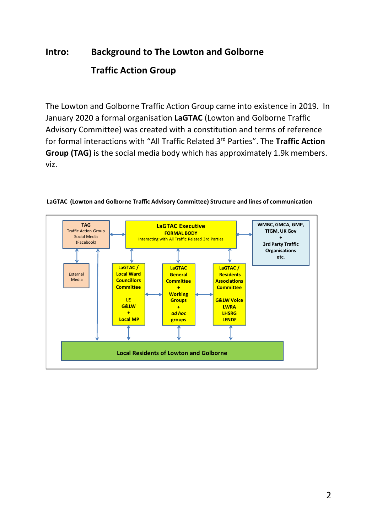# **Intro: Background to The Lowton and Golborne Traffic Action Group**

The Lowton and Golborne Traffic Action Group came into existence in 2019. In January 2020 a formal organisation **LaGTAC** (Lowton and Golborne Traffic Advisory Committee) was created with a constitution and terms of reference for formal interactions with "All Traffic Related 3rd Parties". The **Traffic Action Group (TAG)** is the social media body which has approximately 1.9k members. viz.



**LaGTAC (Lowton and Golborne Traffic Advisory Committee) Structure and lines of communication**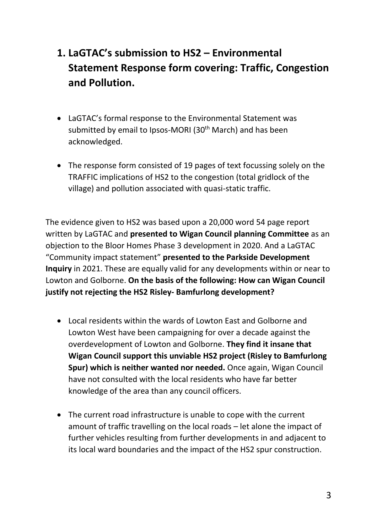- **1. LaGTAC's submission to HS2 – Environmental Statement Response form covering: Traffic, Congestion and Pollution.**
- LaGTAC's formal response to the Environmental Statement was submitted by email to Ipsos-MORI (30<sup>th</sup> March) and has been acknowledged.
- The response form consisted of 19 pages of text focussing solely on the TRAFFIC implications of HS2 to the congestion (total gridlock of the village) and pollution associated with quasi-static traffic.

The evidence given to HS2 was based upon a 20,000 word 54 page report written by LaGTAC and **presented to Wigan Council planning Committee** as an objection to the Bloor Homes Phase 3 development in 2020. And a LaGTAC "Community impact statement" **presented to the Parkside Development Inquiry** in 2021. These are equally valid for any developments within or near to Lowton and Golborne. **On the basis of the following: How can Wigan Council justify not rejecting the HS2 Risley- Bamfurlong development?**

- Local residents within the wards of Lowton East and Golborne and Lowton West have been campaigning for over a decade against the overdevelopment of Lowton and Golborne. **They find it insane that Wigan Council support this unviable HS2 project (Risley to Bamfurlong Spur) which is neither wanted nor needed.** Once again, Wigan Council have not consulted with the local residents who have far better knowledge of the area than any council officers.
- The current road infrastructure is unable to cope with the current amount of traffic travelling on the local roads – let alone the impact of further vehicles resulting from further developments in and adjacent to its local ward boundaries and the impact of the HS2 spur construction.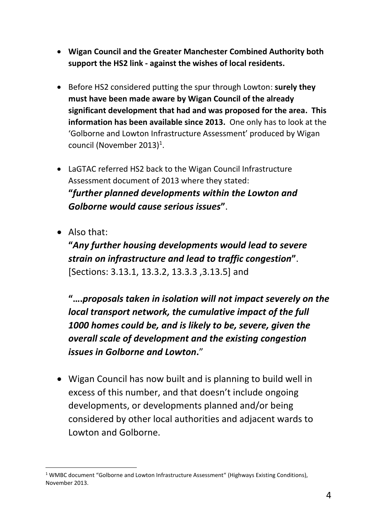- **Wigan Council and the Greater Manchester Combined Authority both support the HS2 link - against the wishes of local residents.**
- Before HS2 considered putting the spur through Lowton: **surely they must have been made aware by Wigan Council of the already significant development that had and was proposed for the area. This information has been available since 2013.** One only has to look at the 'Golborne and Lowton Infrastructure Assessment' produced by Wigan council (November 2013)<sup>1</sup>.
- LaGTAC referred HS2 back to the Wigan Council Infrastructure Assessment document of 2013 where they stated: **"***further planned developments within the Lowton and Golborne would cause serious issues***"**.
- Also that:

**"***Any further housing developments would lead to severe strain on infrastructure and lead to traffic congestion***"**. [Sections: 3.13.1, 13.3.2, 13.3.3 ,3.13.5] and

**"….***proposals taken in isolation will not impact severely on the local transport network, the cumulative impact of the full 1000 homes could be, and is likely to be, severe, given the overall scale of development and the existing congestion issues in Golborne and Lowton***.**"

• Wigan Council has now built and is planning to build well in excess of this number, and that doesn't include ongoing developments, or developments planned and/or being considered by other local authorities and adjacent wards to Lowton and Golborne.

 $1$  WMBC document "Golborne and Lowton Infrastructure Assessment" (Highways Existing Conditions), November 2013.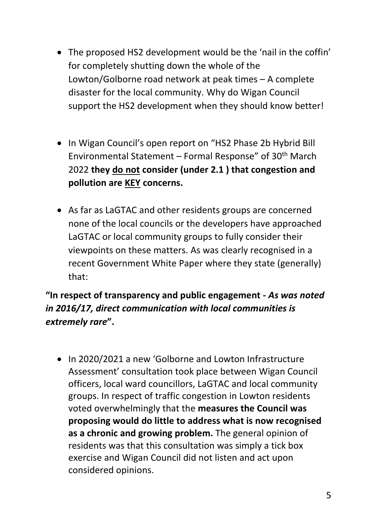- The proposed HS2 development would be the 'nail in the coffin' for completely shutting down the whole of the Lowton/Golborne road network at peak times – A complete disaster for the local community. Why do Wigan Council support the HS2 development when they should know better!
- In Wigan Council's open report on "HS2 Phase 2b Hybrid Bill Environmental Statement – Formal Response" of 30th March 2022 **they do not consider (under 2.1 ) that congestion and pollution are KEY concerns.**
- As far as LaGTAC and other residents groups are concerned none of the local councils or the developers have approached LaGTAC or local community groups to fully consider their viewpoints on these matters. As was clearly recognised in a recent Government White Paper where they state (generally) that:

### **"In respect of transparency and public engagement -** *As was noted in 2016/17, direct communication with local communities is extremely rare***".**

• In 2020/2021 a new 'Golborne and Lowton Infrastructure Assessment' consultation took place between Wigan Council officers, local ward councillors, LaGTAC and local community groups. In respect of traffic congestion in Lowton residents voted overwhelmingly that the **measures the Council was proposing would do little to address what is now recognised as a chronic and growing problem.** The general opinion of residents was that this consultation was simply a tick box exercise and Wigan Council did not listen and act upon considered opinions.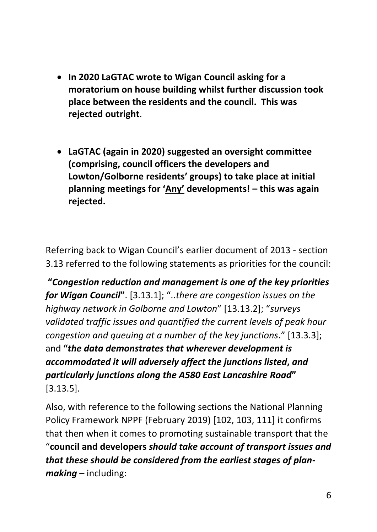- **In 2020 LaGTAC wrote to Wigan Council asking for a moratorium on house building whilst further discussion took place between the residents and the council. This was rejected outright**.
- **LaGTAC (again in 2020) suggested an oversight committee (comprising, council officers the developers and Lowton/Golborne residents' groups) to take place at initial planning meetings for 'Any' developments! – this was again rejected.**

Referring back to Wigan Council's earlier document of 2013 - section 3.13 referred to the following statements as priorities for the council:

**"***Congestion reduction and management is one of the key priorities for Wigan Council***"**. [3.13.1]; "..*there are congestion issues on the highway network in Golborne and Lowton*" [13.13.2]; "*surveys validated traffic issues and quantified the current levels of peak hour congestion and queuing at a number of the key junctions*." [13.3.3]; and **"***the data demonstrates that wherever development is accommodated it will adversely affect the junctions listed***,** *and particularly junctions along the A580 East Lancashire Road***"** [3.13.5].

Also, with reference to the following sections the National Planning Policy Framework NPPF (February 2019) [102, 103, 111] it confirms that then when it comes to promoting sustainable transport that the "**council and developers** *should take account of transport issues and that these should be considered from the earliest stages of planmaking* – including: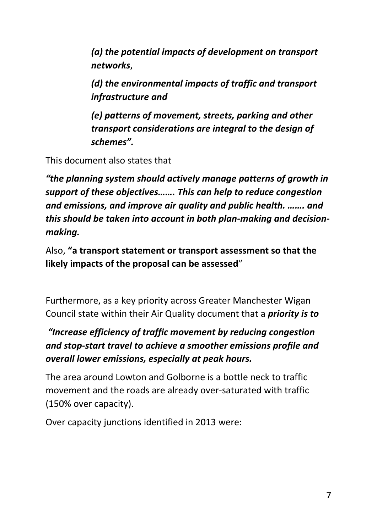*(a) the potential impacts of development on transport networks*,

*(d) the environmental impacts of traffic and transport infrastructure and* 

*(e) patterns of movement, streets, parking and other transport considerations are integral to the design of schemes".*

This document also states that

*"the planning system should actively manage patterns of growth in support of these objectives……. This can help to reduce congestion and emissions, and improve air quality and public health. ……. and this should be taken into account in both plan-making and decisionmaking.*

Also, **"a transport statement or transport assessment so that the likely impacts of the proposal can be assessed**"

Furthermore, as a key priority across Greater Manchester Wigan Council state within their Air Quality document that a *priority is to*

*"Increase efficiency of traffic movement by reducing congestion and stop-start travel to achieve a smoother emissions profile and overall lower emissions, especially at peak hours.*

The area around Lowton and Golborne is a bottle neck to traffic movement and the roads are already over-saturated with traffic (150% over capacity).

Over capacity junctions identified in 2013 were: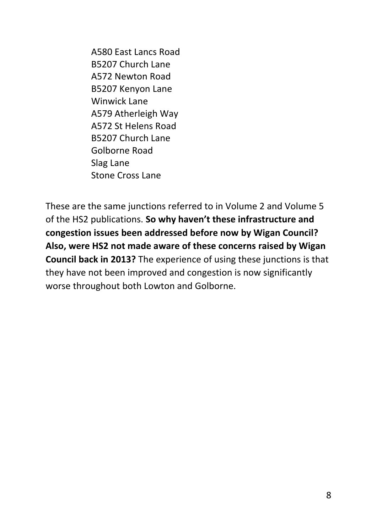A580 East Lancs Road B5207 Church Lane A572 Newton Road B5207 Kenyon Lane Winwick Lane A579 Atherleigh Way A572 St Helens Road B5207 Church Lane Golborne Road Slag Lane Stone Cross Lane

These are the same junctions referred to in Volume 2 and Volume 5 of the HS2 publications. **So why haven't these infrastructure and congestion issues been addressed before now by Wigan Council? Also, were HS2 not made aware of these concerns raised by Wigan Council back in 2013?** The experience of using these junctions is that they have not been improved and congestion is now significantly worse throughout both Lowton and Golborne.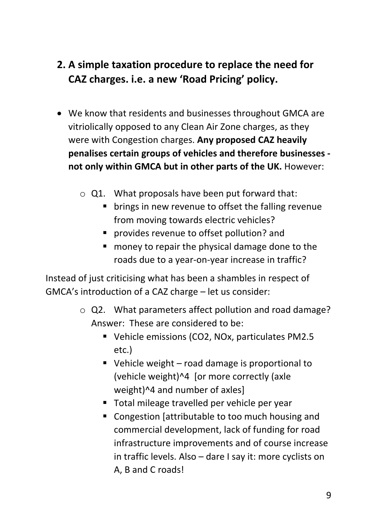## **2. A simple taxation procedure to replace the need for CAZ charges. i.e. a new 'Road Pricing' policy.**

- We know that residents and businesses throughout GMCA are vitriolically opposed to any Clean Air Zone charges, as they were with Congestion charges. **Any proposed CAZ heavily penalises certain groups of vehicles and therefore businesses not only within GMCA but in other parts of the UK.** However:
	- $\circ$  Q1. What proposals have been put forward that:
		- brings in new revenue to offset the falling revenue from moving towards electric vehicles?
		- provides revenue to offset pollution? and
		- money to repair the physical damage done to the roads due to a year-on-year increase in traffic?

Instead of just criticising what has been a shambles in respect of GMCA's introduction of a CAZ charge – let us consider:

- o Q2. What parameters affect pollution and road damage? Answer: These are considered to be:
	- Vehicle emissions (CO2, NOx, particulates PM2.5 etc.)
	- Vehicle weight road damage is proportional to (vehicle weight)^4 [or more correctly (axle weight)<sup>^4</sup> and number of axles]
	- Total mileage travelled per vehicle per year
	- Congestion [attributable to too much housing and commercial development, lack of funding for road infrastructure improvements and of course increase in traffic levels. Also – dare I say it: more cyclists on A, B and C roads!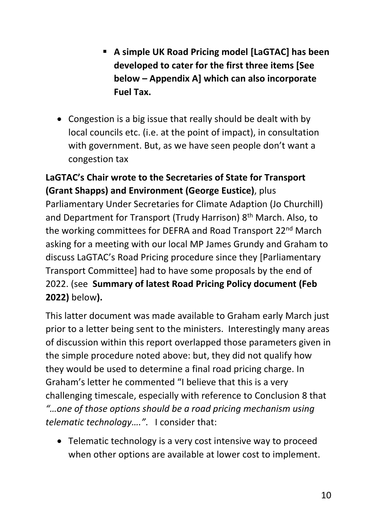- **A simple UK Road Pricing model [LaGTAC] has been developed to cater for the first three items [See below – Appendix A] which can also incorporate Fuel Tax.**
- Congestion is a big issue that really should be dealt with by local councils etc. (i.e. at the point of impact), in consultation with government. But, as we have seen people don't want a congestion tax

#### **LaGTAC's Chair wrote to the Secretaries of State for Transport (Grant Shapps) and Environment (George Eustice)**, plus

Parliamentary Under Secretaries for Climate Adaption (Jo Churchill) and Department for Transport (Trudy Harrison) 8<sup>th</sup> March. Also, to the working committees for DEFRA and Road Transport 22<sup>nd</sup> March asking for a meeting with our local MP James Grundy and Graham to discuss LaGTAC's Road Pricing procedure since they [Parliamentary Transport Committee] had to have some proposals by the end of 2022. (see **Summary of latest Road Pricing Policy document (Feb 2022)** below**).**

This latter document was made available to Graham early March just prior to a letter being sent to the ministers. Interestingly many areas of discussion within this report overlapped those parameters given in the simple procedure noted above: but, they did not qualify how they would be used to determine a final road pricing charge. In Graham's letter he commented "I believe that this is a very challenging timescale, especially with reference to Conclusion 8 that *"…one of those options should be a road pricing mechanism using telematic technology…."*. I consider that:

• Telematic technology is a very cost intensive way to proceed when other options are available at lower cost to implement.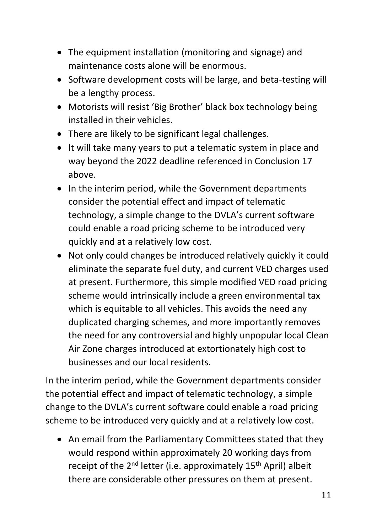- The equipment installation (monitoring and signage) and maintenance costs alone will be enormous.
- Software development costs will be large, and beta-testing will be a lengthy process.
- Motorists will resist 'Big Brother' black box technology being installed in their vehicles.
- There are likely to be significant legal challenges.
- It will take many years to put a telematic system in place and way beyond the 2022 deadline referenced in Conclusion 17 above.
- In the interim period, while the Government departments consider the potential effect and impact of telematic technology, a simple change to the DVLA's current software could enable a road pricing scheme to be introduced very quickly and at a relatively low cost.
- Not only could changes be introduced relatively quickly it could eliminate the separate fuel duty, and current VED charges used at present. Furthermore, this simple modified VED road pricing scheme would intrinsically include a green environmental tax which is equitable to all vehicles. This avoids the need any duplicated charging schemes, and more importantly removes the need for any controversial and highly unpopular local Clean Air Zone charges introduced at extortionately high cost to businesses and our local residents.

In the interim period, while the Government departments consider the potential effect and impact of telematic technology, a simple change to the DVLA's current software could enable a road pricing scheme to be introduced very quickly and at a relatively low cost.

• An email from the Parliamentary Committees stated that they would respond within approximately 20 working days from receipt of the 2<sup>nd</sup> letter (i.e. approximately 15<sup>th</sup> April) albeit there are considerable other pressures on them at present.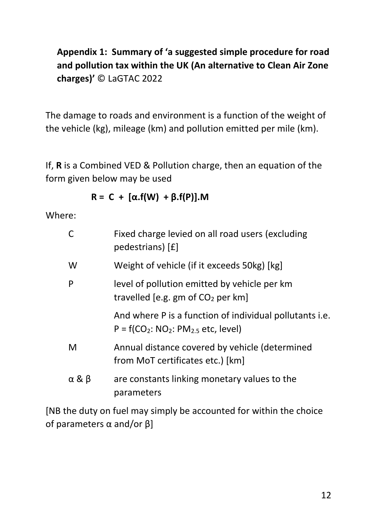## **Appendix 1: Summary of 'a suggested simple procedure for road and pollution tax within the UK (An alternative to Clean Air Zone charges)'** © LaGTAC 2022

The damage to roads and environment is a function of the weight of the vehicle (kg), mileage (km) and pollution emitted per mile (km).

If, **R** is a Combined VED & Pollution charge, then an equation of the form given below may be used

$$
R = C + [\alpha.f(W) + \beta.f(P)].M
$$

Where:

| C   | Fixed charge levied on all road users (excluding<br>pedestrians) [£]                                |  |
|-----|-----------------------------------------------------------------------------------------------------|--|
| W   | Weight of vehicle (if it exceeds 50kg) [kg]                                                         |  |
| P   | level of pollution emitted by vehicle per km<br>travelled [e.g. gm of $CO2$ per km]                 |  |
|     | And where P is a function of individual pollutants i.e.<br>$P = f(CO_2: NO_2: PM_{2.5}$ etc, level) |  |
| M   | Annual distance covered by vehicle (determined<br>from MoT certificates etc.) [km]                  |  |
| α&β | are constants linking monetary values to the<br>parameters                                          |  |

[NB the duty on fuel may simply be accounted for within the choice of parameters  $\alpha$  and/or  $\beta$ ]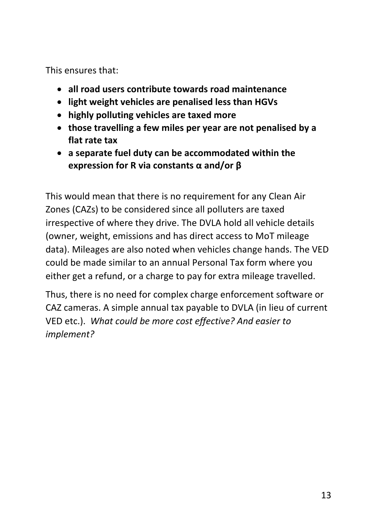This ensures that:

- **all road users contribute towards road maintenance**
- **light weight vehicles are penalised less than HGVs**
- **highly polluting vehicles are taxed more**
- **those travelling a few miles per year are not penalised by a flat rate tax**
- **a separate fuel duty can be accommodated within the expression for R via constants α and/or β**

This would mean that there is no requirement for any Clean Air Zones (CAZs) to be considered since all polluters are taxed irrespective of where they drive. The DVLA hold all vehicle details (owner, weight, emissions and has direct access to MoT mileage data). Mileages are also noted when vehicles change hands. The VED could be made similar to an annual Personal Tax form where you either get a refund, or a charge to pay for extra mileage travelled.

Thus, there is no need for complex charge enforcement software or CAZ cameras. A simple annual tax payable to DVLA (in lieu of current VED etc.). *What could be more cost effective? And easier to implement?*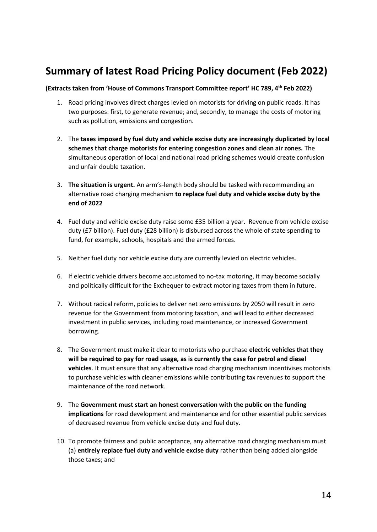### **Summary of latest Road Pricing Policy document (Feb 2022)**

#### **(Extracts taken from 'House of Commons Transport Committee report' HC 789, 4th Feb 2022)**

- 1. Road pricing involves direct charges levied on motorists for driving on public roads. It has two purposes: first, to generate revenue; and, secondly, to manage the costs of motoring such as pollution, emissions and congestion.
- 2. The **taxes imposed by fuel duty and vehicle excise duty are increasingly duplicated by local schemes that charge motorists for entering congestion zones and clean air zones.** The simultaneous operation of local and national road pricing schemes would create confusion and unfair double taxation.
- 3. **The situation is urgent.** An arm's-length body should be tasked with recommending an alternative road charging mechanism **to replace fuel duty and vehicle excise duty by the end of 2022**
- 4. Fuel duty and vehicle excise duty raise some £35 billion a year. Revenue from vehicle excise duty (£7 billion). Fuel duty (£28 billion) is disbursed across the whole of state spending to fund, for example, schools, hospitals and the armed forces.
- 5. Neither fuel duty nor vehicle excise duty are currently levied on electric vehicles.
- 6. If electric vehicle drivers become accustomed to no-tax motoring, it may become socially and politically difficult for the Exchequer to extract motoring taxes from them in future.
- 7. Without radical reform, policies to deliver net zero emissions by 2050 will result in zero revenue for the Government from motoring taxation, and will lead to either decreased investment in public services, including road maintenance, or increased Government borrowing.
- 8. The Government must make it clear to motorists who purchase **electric vehicles that they will be required to pay for road usage, as is currently the case for petrol and diesel vehicles**. It must ensure that any alternative road charging mechanism incentivises motorists to purchase vehicles with cleaner emissions while contributing tax revenues to support the maintenance of the road network.
- 9. The **Government must start an honest conversation with the public on the funding implications** for road development and maintenance and for other essential public services of decreased revenue from vehicle excise duty and fuel duty.
- 10. To promote fairness and public acceptance, any alternative road charging mechanism must (a) **entirely replace fuel duty and vehicle excise duty** rather than being added alongside those taxes; and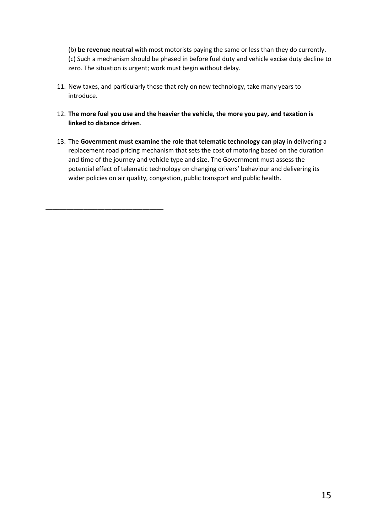(b) **be revenue neutral** with most motorists paying the same or less than they do currently. (c) Such a mechanism should be phased in before fuel duty and vehicle excise duty decline to zero. The situation is urgent; work must begin without delay.

- 11. New taxes, and particularly those that rely on new technology, take many years to introduce.
- 12. **The more fuel you use and the heavier the vehicle, the more you pay, and taxation is linked to distance driven**.
- 13. The **Government must examine the role that telematic technology can play** in delivering a replacement road pricing mechanism that sets the cost of motoring based on the duration and time of the journey and vehicle type and size. The Government must assess the potential effect of telematic technology on changing drivers' behaviour and delivering its wider policies on air quality, congestion, public transport and public health.

\_\_\_\_\_\_\_\_\_\_\_\_\_\_\_\_\_\_\_\_\_\_\_\_\_\_\_\_\_\_\_\_\_\_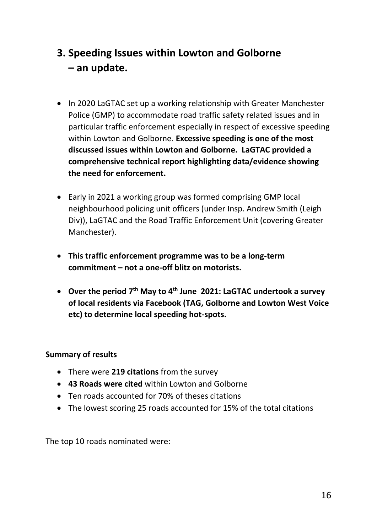- **3. Speeding Issues within Lowton and Golborne – an update.**
- In 2020 LaGTAC set up a working relationship with Greater Manchester Police (GMP) to accommodate road traffic safety related issues and in particular traffic enforcement especially in respect of excessive speeding within Lowton and Golborne. **Excessive speeding is one of the most discussed issues within Lowton and Golborne. LaGTAC provided a comprehensive technical report highlighting data/evidence showing the need for enforcement.**
- Early in 2021 a working group was formed comprising GMP local neighbourhood policing unit officers (under Insp. Andrew Smith (Leigh Div)), LaGTAC and the Road Traffic Enforcement Unit (covering Greater Manchester).
- **This traffic enforcement programme was to be a long-term commitment – not a one-off blitz on motorists.**
- **Over the period 7th May to 4 th June 2021: LaGTAC undertook a survey of local residents via Facebook (TAG, Golborne and Lowton West Voice etc) to determine local speeding hot-spots.**

#### **Summary of results**

- There were **219 citations** from the survey
- **43 Roads were cited** within Lowton and Golborne
- Ten roads accounted for 70% of theses citations
- The lowest scoring 25 roads accounted for 15% of the total citations

The top 10 roads nominated were: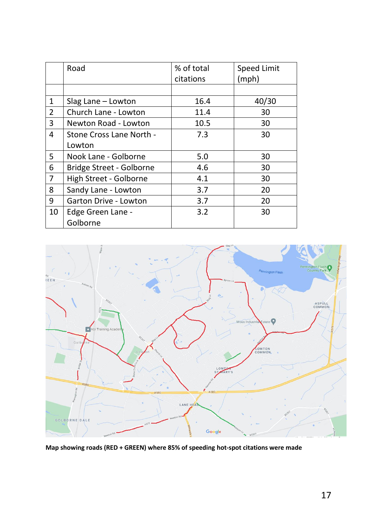|                | Road                     | % of total<br>citations | <b>Speed Limit</b><br>(mph) |
|----------------|--------------------------|-------------------------|-----------------------------|
|                |                          |                         |                             |
| $\mathbf{1}$   | Slag Lane - Lowton       | 16.4                    | 40/30                       |
| $\overline{2}$ | Church Lane - Lowton     | 11.4                    | 30                          |
| 3              | Newton Road - Lowton     | 10.5                    | 30                          |
| 4              | Stone Cross Lane North - | 7.3                     | 30                          |
|                | Lowton                   |                         |                             |
| 5              | Nook Lane - Golborne     | 5.0                     | 30                          |
| 6              | Bridge Street - Golborne | 4.6                     | 30                          |
| $\overline{7}$ | High Street - Golborne   | 4.1                     | 30                          |
| 8              | Sandy Lane - Lowton      | 3.7                     | 20                          |
| 9              | Garton Drive - Lowton    | 3.7                     | 20                          |
| 10             | Edge Green Lane -        | 3.2                     | 30                          |
|                | Golborne                 |                         |                             |



**Map showing roads (RED + GREEN) where 85% of speeding hot-spot citations were made**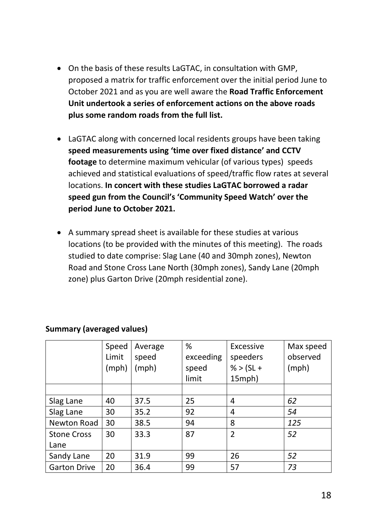- On the basis of these results LaGTAC, in consultation with GMP, proposed a matrix for traffic enforcement over the initial period June to October 2021 and as you are well aware the **Road Traffic Enforcement Unit undertook a series of enforcement actions on the above roads plus some random roads from the full list.**
- LaGTAC along with concerned local residents groups have been taking **speed measurements using 'time over fixed distance' and CCTV footage** to determine maximum vehicular (of various types) speeds achieved and statistical evaluations of speed/traffic flow rates at several locations. **In concert with these studies LaGTAC borrowed a radar speed gun from the Council's 'Community Speed Watch' over the period June to October 2021.**
- A summary spread sheet is available for these studies at various locations (to be provided with the minutes of this meeting). The roads studied to date comprise: Slag Lane (40 and 30mph zones), Newton Road and Stone Cross Lane North (30mph zones), Sandy Lane (20mph zone) plus Garton Drive (20mph residential zone).

|                     | Speed | Average | %         | Excessive      | Max speed |
|---------------------|-------|---------|-----------|----------------|-----------|
|                     | Limit | speed   | exceeding | speeders       | observed  |
|                     | (mph) | (mph)   | speed     | % > $(SL +$    | (mph)     |
|                     |       |         | limit     | 15mph)         |           |
|                     |       |         |           |                |           |
| Slag Lane           | 40    | 37.5    | 25        | $\overline{4}$ | 62        |
| Slag Lane           | 30    | 35.2    | 92        | $\overline{4}$ | 54        |
| <b>Newton Road</b>  | 30    | 38.5    | 94        | 8              | 125       |
| <b>Stone Cross</b>  | 30    | 33.3    | 87        | $\overline{2}$ | 52        |
| Lane                |       |         |           |                |           |
| Sandy Lane          | 20    | 31.9    | 99        | 26             | 52        |
| <b>Garton Drive</b> | 20    | 36.4    | 99        | 57             | 73        |

#### **Summary (averaged values)**